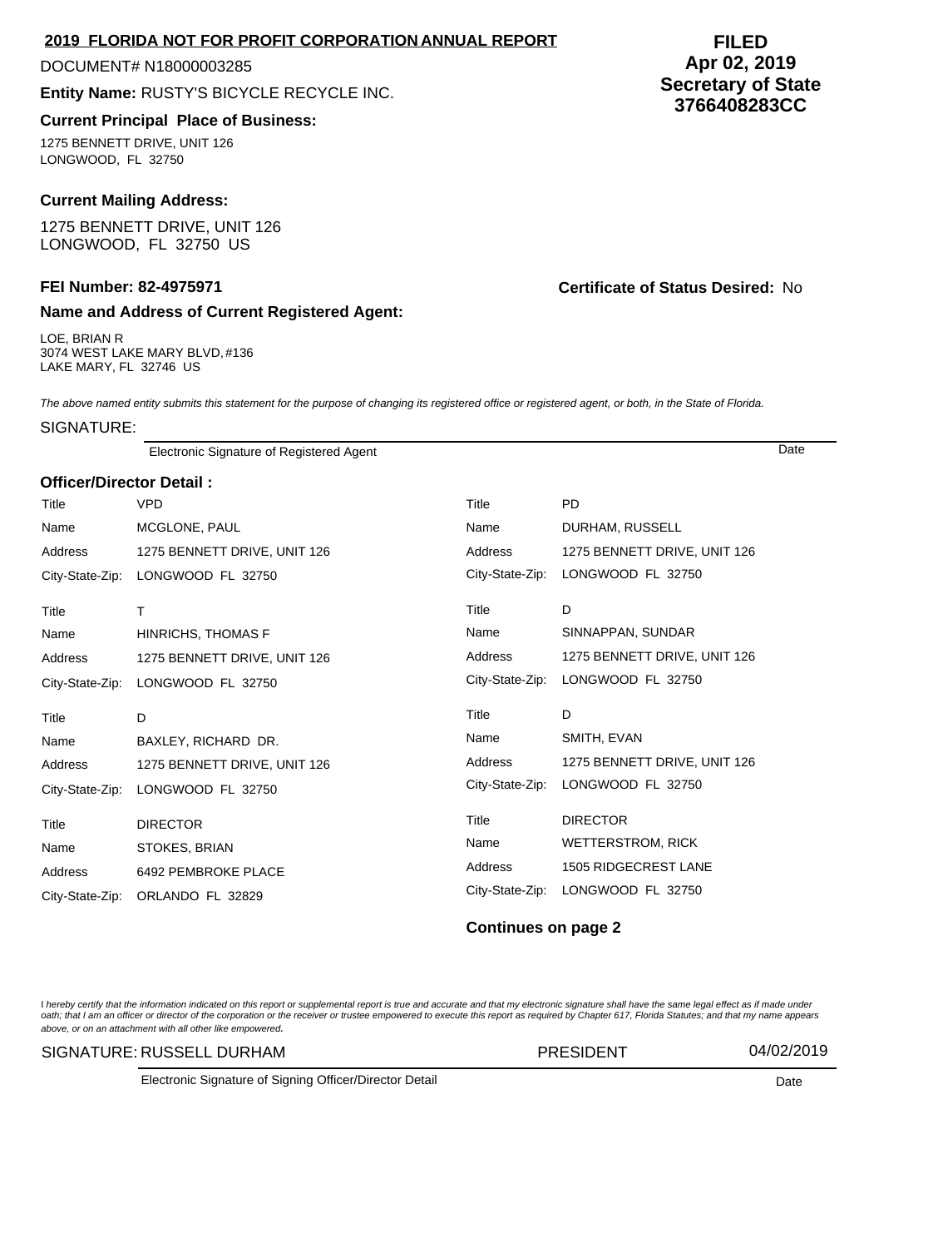## **2019 FLORIDA NOT FOR PROFIT CORPORATION ANNUAL REPORT**

#### DOCUMENT# N18000003285

**Entity Name:** RUSTY'S BICYCLE RECYCLE INC.

# **Current Principal Place of Business:**

1275 BENNETT DRIVE, UNIT 126 LONGWOOD, FL 32750

# **Current Mailing Address:**

1275 BENNETT DRIVE, UNIT 126 LONGWOOD, FL 32750 US

# **Name and Address of Current Registered Agent:**

LOE, BRIAN R 3074 WEST LAKE MARY BLVD, #136 LAKE MARY, FL 32746 US

### **FEI Number: 82-4975971 Certificate of Status Desired:** No

The above named entity submits this statement for the purpose of changing its registered office or registered agent, or both, in the State of Florida.

SIGNATURE:

Electronic Signature of Registered Agent Date

#### **Officer/Director Detail :**

| Title           | <b>VPD</b>                   | Title           | <b>PD</b>                    |
|-----------------|------------------------------|-----------------|------------------------------|
| Name            | MCGLONE, PAUL                | Name            | DURHAM, RUSSELL              |
| Address         | 1275 BENNETT DRIVE, UNIT 126 | Address         | 1275 BENNETT DRIVE, UNIT 126 |
| City-State-Zip: | LONGWOOD FL 32750            | City-State-Zip: | LONGWOOD FL 32750            |
| Title           | T                            | Title           | D                            |
| Name            | HINRICHS, THOMAS F           | Name            | SINNAPPAN, SUNDAR            |
| Address         | 1275 BENNETT DRIVE, UNIT 126 | Address         | 1275 BENNETT DRIVE, UNIT 126 |
| City-State-Zip: | LONGWOOD FL 32750            | City-State-Zip: | LONGWOOD FL 32750            |
|                 |                              |                 |                              |
| Title           | D                            | Title           | D                            |
| Name            | BAXLEY, RICHARD DR.          | Name            | SMITH, EVAN                  |
| Address         | 1275 BENNETT DRIVE, UNIT 126 | Address         | 1275 BENNETT DRIVE, UNIT 126 |
| City-State-Zip: | LONGWOOD FL 32750            | City-State-Zip: | LONGWOOD FL 32750            |
| Title           | <b>DIRECTOR</b>              | Title           | <b>DIRECTOR</b>              |
| Name            | STOKES, BRIAN                | Name            | <b>WETTERSTROM, RICK</b>     |
| Address         | 6492 PEMBROKE PLACE          | Address         | 1505 RIDGECREST LANE         |

### **Continues on page 2**

l hereby certify that the information indicated on this report or supplemental report is true and accurate and that my electronic signature shall have the same legal effect as if made under<br>oath; that I am an officer or di above, or on an attachment with all other like empowered.

#### SIGNATURE: RUSSELL DURHAM PRESIDENT 04/02/2019

Electronic Signature of Signing Officer/Director Detail Date

# **FILED Apr 02, 2019 Secretary of State 3766408283CC**